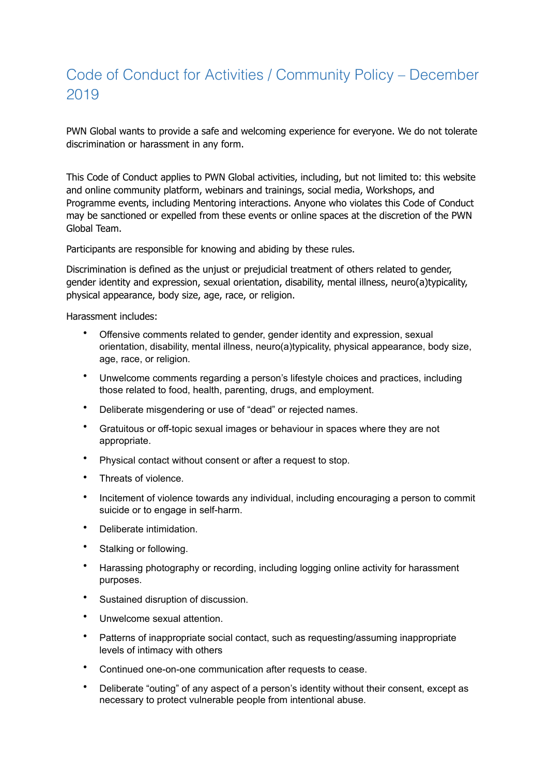## Code of Conduct for Activities / Community Policy – December 2019

PWN Global wants to provide a safe and welcoming experience for everyone. We do not tolerate discrimination or harassment in any form.

This Code of Conduct applies to PWN Global activities, including, but not limited to: this website and online community platform, webinars and trainings, social media, Workshops, and Programme events, including Mentoring interactions. Anyone who violates this Code of Conduct may be sanctioned or expelled from these events or online spaces at the discretion of the PWN Global Team.

Participants are responsible for knowing and abiding by these rules.

Discrimination is defined as the unjust or prejudicial treatment of others related to gender, gender identity and expression, sexual orientation, disability, mental illness, neuro(a)typicality, physical appearance, body size, age, race, or religion.

Harassment includes:

- Offensive comments related to gender, gender identity and expression, sexual orientation, disability, mental illness, neuro(a)typicality, physical appearance, body size, age, race, or religion.
- Unwelcome comments regarding a person's lifestyle choices and practices, including those related to food, health, parenting, drugs, and employment.
- Deliberate misgendering or use of "dead" or rejected names.
- Gratuitous or off-topic sexual images or behaviour in spaces where they are not appropriate.
- Physical contact without consent or after a request to stop.
- Threats of violence.
- Incitement of violence towards any individual, including encouraging a person to commit suicide or to engage in self-harm.
- Deliberate intimidation.
- Stalking or following.
- Harassing photography or recording, including logging online activity for harassment purposes.
- Sustained disruption of discussion.
- Unwelcome sexual attention.
- Patterns of inappropriate social contact, such as requesting/assuming inappropriate levels of intimacy with others
- Continued one-on-one communication after requests to cease.
- Deliberate "outing" of any aspect of a person's identity without their consent, except as necessary to protect vulnerable people from intentional abuse.